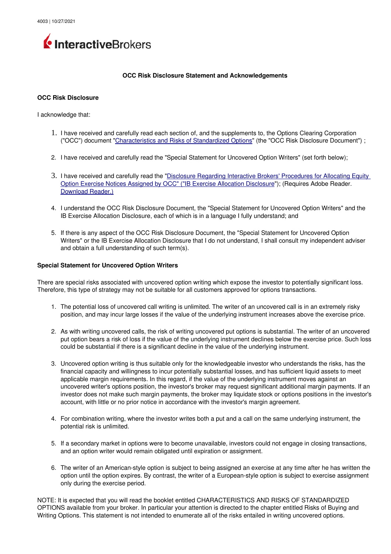

## **OCC Risk Disclosure Statement and Acknowledgements**

## **OCC Risk Disclosure**

I acknowledge that:

- 1. I have received and carefully read each section of, and the supplements to, the Options Clearing Corporation ("OCC") document ["Characteristics and Risks of Standardized Options"](https://www.theocc.com/Company-Information/Documents-and-Archives/Options-Disclosure-Document) (the "OCC Risk Disclosure Document") ;
- 2. I have received and carefully read the "Special Statement for Uncovered Option Writers" (set forth below);
- 3. I have received and carefully read the "Disclosure Regarding Interactive Brokers' Procedures for Allocating Equity [Option Exercise Notices Assigned by OCC" \("IB Exercise Allocation Disclosure"](https://gdcdyn.interactivebrokers.com/Universal/servlet/Registration_v2.formSampleView?formdb=3354)); (Requires Adobe Reader. [Download Reader.\)](http://www.adobe.com/)
- 4. I understand the OCC Risk Disclosure Document, the "Special Statement for Uncovered Option Writers" and the IB Exercise Allocation Disclosure, each of which is in a language I fully understand; and
- 5. If there is any aspect of the OCC Risk Disclosure Document, the "Special Statement for Uncovered Option Writers" or the IB Exercise Allocation Disclosure that I do not understand, I shall consult my independent adviser and obtain a full understanding of such term(s).

## **Special Statement for Uncovered Option Writers**

There are special risks associated with uncovered option writing which expose the investor to potentially significant loss. Therefore, this type of strategy may not be suitable for all customers approved for options transactions.

- 1. The potential loss of uncovered call writing is unlimited. The writer of an uncovered call is in an extremely risky position, and may incur large losses if the value of the underlying instrument increases above the exercise price.
- 2. As with writing uncovered calls, the risk of writing uncovered put options is substantial. The writer of an uncovered put option bears a risk of loss if the value of the underlying instrument declines below the exercise price. Such loss could be substantial if there is a significant decline in the value of the underlying instrument.
- 3. Uncovered option writing is thus suitable only for the knowledgeable investor who understands the risks, has the financial capacity and willingness to incur potentially substantial losses, and has sufficient liquid assets to meet applicable margin requirements. In this regard, if the value of the underlying instrument moves against an uncovered writer's options position, the investor's broker may request significant additional margin payments. If an investor does not make such margin payments, the broker may liquidate stock or options positions in the investor's account, with little or no prior notice in accordance with the investor's margin agreement.
- 4. For combination writing, where the investor writes both a put and a call on the same underlying instrument, the potential risk is unlimited.
- 5. If a secondary market in options were to become unavailable, investors could not engage in closing transactions, and an option writer would remain obligated until expiration or assignment.
- 6. The writer of an American-style option is subject to being assigned an exercise at any time after he has written the option until the option expires. By contrast, the writer of a Europeanstyle option is subject to exercise assignment only during the exercise period.

NOTE: It is expected that you will read the booklet entitled CHARACTERISTICS AND RISKS OF STANDARDIZED OPTIONS available from your broker. In particular your attention is directed to the chapter entitled Risks of Buying and Writing Options. This statement is not intended to enumerate all of the risks entailed in writing uncovered options.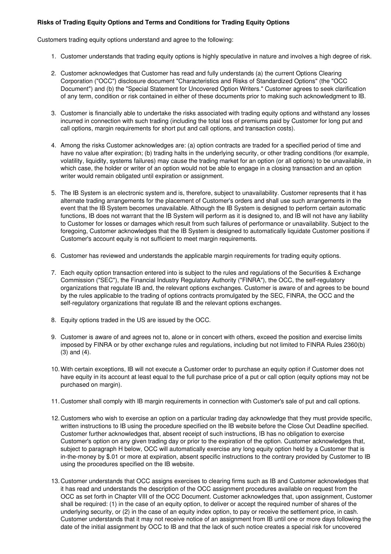## **Risks of Trading Equity Options and Terms and Conditions for Trading Equity Options**

Customers trading equity options understand and agree to the following:

- 1. Customer understands that trading equity options is highly speculative in nature and involves a high degree of risk.
- 2. Customer acknowledges that Customer has read and fully understands (a) the current Options Clearing Corporation ("OCC") disclosure document "Characteristics and Risks of Standardized Options" (the "OCC Document") and (b) the "Special Statement for Uncovered Option Writers." Customer agrees to seek clarification of any term, condition or risk contained in either of these documents prior to making such acknowledgment to IB.
- 3. Customer is financially able to undertake the risks associated with trading equity options and withstand any losses incurred in connection with such trading (including the total loss of premiums paid by Customer for long put and call options, margin requirements for short put and call options, and transaction costs).
- 4. Among the risks Customer acknowledges are: (a) option contracts are traded for a specified period of time and have no value after expiration; (b) trading halts in the underlying security, or other trading conditions (for example, volatility, liquidity, systems failures) may cause the trading market for an option (or all options) to be unavailable, in which case, the holder or writer of an option would not be able to engage in a closing transaction and an option writer would remain obligated until expiration or assignment.
- 5. The IB System is an electronic system and is, therefore, subject to unavailability. Customer represents that it has alternate trading arrangements for the placement of Customer's orders and shall use such arrangements in the event that the IB System becomes unavailable. Although the IB System is designed to perform certain automatic functions, IB does not warrant that the IB System will perform as it is designed to, and IB will not have any liability to Customer for losses or damages which result from such failures of performance or unavailability. Subject to the foregoing, Customer acknowledges that the IB System is designed to automatically liquidate Customer positions if Customer's account equity is not sufficient to meet margin requirements.
- 6. Customer has reviewed and understands the applicable margin requirements for trading equity options.
- 7. Each equity option transaction entered into is subject to the rules and regulations of the Securities & Exchange Commission ("SEC"), the Financial Industry Regulatory Authority ("FINRA"), the OCC, the selfregulatory organizations that regulate IB and, the relevant options exchanges. Customer is aware of and agrees to be bound by the rules applicable to the trading of options contracts promulgated by the SEC, FINRA, the OCC and the self-regulatory organizations that regulate IB and the relevant options exchanges.
- 8. Equity options traded in the US are issued by the OCC.
- 9. Customer is aware of and agrees not to, alone or in concert with others, exceed the position and exercise limits imposed by FINRA or by other exchange rules and regulations, including but not limited to FINRA Rules 2360(b) (3) and (4).
- 10.With certain exceptions, IB will not execute a Customer order to purchase an equity option if Customer does not have equity in its account at least equal to the full purchase price of a put or call option (equity options may not be purchased on margin).
- 11.Customer shall comply with IB margin requirements in connection with Customer's sale of put and call options.
- 12.Customers who wish to exercise an option on a particular trading day acknowledge that they must provide specific, written instructions to IB using the procedure specified on the IB website before the Close Out Deadline specified. Customer further acknowledges that, absent receipt of such instructions, IB has no obligation to exercise Customer's option on any given trading day or prior to the expiration of the option. Customer acknowledges that, subject to paragraph H below, OCC will automatically exercise any long equity option held by a Customer that is in-the-money by \$.01 or more at expiration, absent specific instructions to the contrary provided by Customer to IB using the procedures specified on the IB website.
- 13.Customer understands that OCC assigns exercises to clearing firms such as IB and Customer acknowledges that it has read and understands the description of the OCC assignment procedures available on request from the OCC as set forth in Chapter VIII of the OCC Document. Customer acknowledges that, upon assignment, Customer shall be required: (1) in the case of an equity option, to deliver or accept the required number of shares of the underlying security, or (2) in the case of an equity index option, to pay or receive the settlement price, in cash. Customer understands that it may not receive notice of an assignment from IB until one or more days following the date of the initial assignment by OCC to IB and that the lack of such notice creates a special risk for uncovered